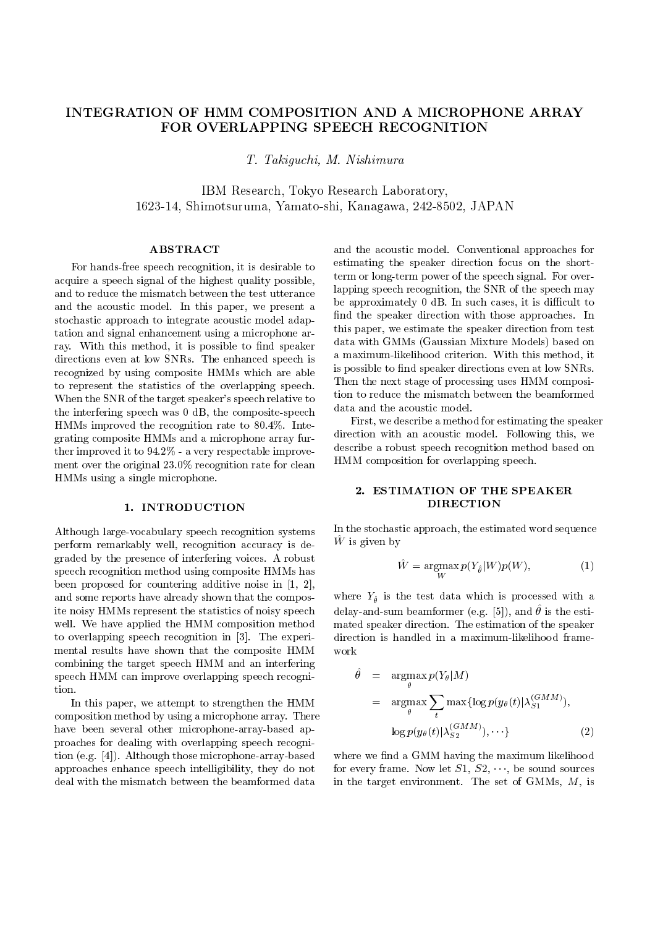# INTEGRATION OF HMM COMPOSITION AND A MICROPHONE ARRAY FOR OVERLAPPING SPEECH RECOGNITION

T. T. Taking which, T. T. T. Science with the contract of the contract of the contract of the contract of the c

IBM Research, Tokyo Research Laboratory, 1623-14, Shimotsuruma, Yamato-shi, Kanagawa, 242-8502, JAPAN

## ABSTRACT

For hands-free speech recognition, it is desirable to acquire a speech signal of the highest quality possible, and to reduce the mismatch between the test utterance and the acoustic model. In this paper, we present a stochastic approach to integrate acoustic model adaptation and signal enhancement using a microphone array. With this method, it is possible to find speaker directions even at low SNRs. The enhanced speech is recognized by using composite HMMs which are able to represent the statistics of the overlapping speech. Then the next stage of processing uses HMM composition to reduce the mismatch between the beamformed When the SNR of the target speaker's speech relative to  $\frac{\text{top to reduce the mismatch}}{\text{data and the acoustic model}}$ the interfering speech was 0 dB, the composite-speech HMMs improved the recognition rate to 80.4%. Integrating composite HMMs and a microphone array further improved it to 94.2% - a very respectable improvement over the original 23.0% recognition rate for clean HMMs using a single microphone.

## 1. INTRODUCTION

Although large-vocabulary speech recognition systems perform remarkably well, recognition accuracy is degraded by the presence of interfering voices. A robust speech recognition method using composite HMMs has been proposed for countering additive noise in [1, 2], and some reports have already shown that the composite noisy HMMs represent the statistics of noisy speech well. We have applied the HMM composition method to overlapping speech recognition in [3]. The experimental results have shown that the composite HMM combining the target speech HMM and an interfering speech HMM can improve overlapping speech recognition.

In this paper, we attempt to strengthen the HMM composition method by using a microphone array. There have been several other microphone-array-based approaches for dealing with overlapping speech recognition (e.g. [4]). Although those microphone-array-based approaches enhance speech intelligibility, they do not deal with the mismatch between the beamformed data

and the acoustic model. Conventional approaches for estimating the speaker direction focus on the shortterm or long-term power of the speech signal. For overlapping speech recognition, the SNR of the speech may be approximately  $0$  dB. In such cases, it is difficult to find the speaker direction with those approaches. In this paper, we estimate the speaker direction from test data with GMMs (Gaussian Mixture Models) based on a maximum-likelihood criterion. With this method, it is possible to find speaker directions even at low SNRs. Then the next stage of processing uses HMM composi-

First, we describe a method for estimating the speaker direction with an acoustic model. Following this, we describe a robust speech recognition method based on HMM composition for overlapping speech.

# 2. ESTIMATION OF THE SPEAKER DIRECTION

In the stochastic approach, the estimated word sequence  $\mathbf{W}$  is given by

$$
\hat{W} = \underset{W}{\operatorname{argmax}} p(Y_{\hat{\theta}}|W)p(W), \tag{1}
$$

where  $\theta$  is the test data which is the test data with a set  $\theta$  $\alpha$ elay-and-sum beamformer (e.g. [5]), and  $\sigma$  is the estimated speaker direction. The estimation of the speaker direction is handled in a maximum-likelihood framework

$$
\hat{\theta} = \underset{\theta}{\operatorname{argmax}} p(Y_{\theta} | M) \n= \underset{\theta}{\operatorname{argmax}} \sum_{t} \max \{ \log p(y_{\theta}(t) | \lambda_{S1}^{(GMM)}), \\ \log p(y_{\theta}(t) | \lambda_{S2}^{(GMM)}), \cdots \}
$$
\n(2)

where we find a GMM having the maximum likelihood for every frame. Now let  $S1, S2, \dots$ , be sound sources in the target environment. The set of GMMs,  $M$ , is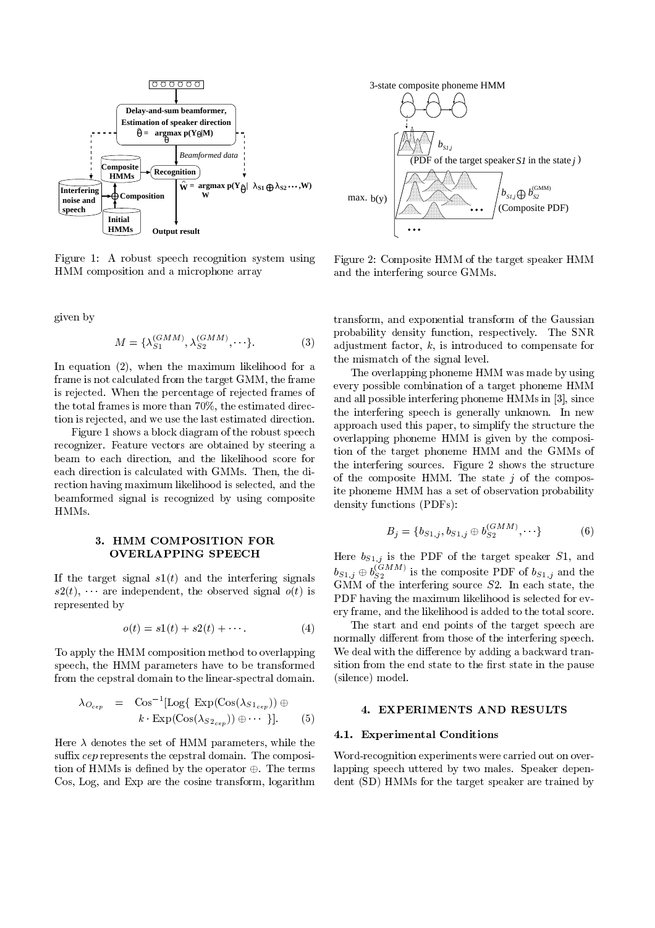

Figure 1: A robust speech recognition system using HMM composition and a microphone array

given by

$$
M = \{\lambda_{S1}^{(GMM)}, \lambda_{S2}^{(GMM)}, \cdots \}.
$$
 (3)  $\text{and} \atop \text{ad}$ 

In equation  $(2)$ , when the maximum likelihood for a frame is not calculated from the target GMM, the frame is rejected. When the percentage of rejected frames of the total frames is more than 70%, the estimated direction is rejected, and we use the last estimated direction.

Figure 1 shows a block diagram of the robust speech recognizer. Feature vectors are obtained by steering a beam to each direction, and the likelihood score for each direction is calculated with GMMs. Then, the direction having maximum likelihood is selected, and the beamformed signal is recognized by using composite HMMs.

## 3. HMM COMPOSITION FOR OVERLAPPING SPEECH

If the target signal  $s1(t)$  and the interfering signals  $s2(t), \cdots$  are independent, the observed signal  $o(t)$  is represented by

$$
o(t) = s1(t) + s2(t) + \cdots.
$$
 (4)

To apply the HMM composition method to overlapping speech, the HMM parameters have to be transformed from the cepstral domain to the linear-spectral domain.

$$
\lambda_{O_{cep}} = \text{Cos}^{-1}[\text{Log}\{\text{Exp}(\text{Cos}(\lambda_{S1_{cep}})) \oplus k \cdot \text{Exp}(\text{Cos}(\lambda_{S2_{cep}})) \oplus \cdots \}].
$$
 (5)

Here  $\lambda$  denotes the set of HMM parameters, while the suffix  $cep$  represents the cepstral domain. The composition of HMMs is defined by the operator  $\oplus$ . The terms Cos, Log, and Exp are the cosine transform, logarithm



Figure 2: Composite HMM of the target speaker HMM and the interfering source GMMs.

transform, and exponential transform of the Gaussian probability density function, respectively. The SNR adjustment factor, k, is introduced to compensate for the mismatch of the signal level.

The overlapping phoneme HMM was made by using every possible combination of a target phoneme HMM and all possible interfering phoneme HMMs in [3], since the interfering speech is generally unknown. In new approach used this paper, to simplify the structure the overlapping phoneme HMM is given by the composition of the target phoneme HMM and the GMMs of the interfering sources. Figure 2 shows the structure of the composite HMM. The state  $i$  of the composite phoneme HMM has a set of observation probability density functions (PDFs):

$$
B_j = \{b_{S1,j}, b_{S1,j} \oplus b_{S2}^{(GMM)}, \cdots\}
$$
 (6)

Here bS1;j is the PDF of the target speaker S1, and  $b_{S1,j} \oplus b_{S2}^{(\text{SIN})}$  is the composite PDF of  $b_{S1,j}$  and the GMM of the interfering source  $S2$ . In each state, the PDF having the maximum likelihood is selected for every frame, and the likelihood is added to the total score.

The start and end points of the target speech are normally different from those of the interfering speech. We deal with the difference by adding a backward transition from the end state to the first state in the pause (silence) model.

## 4. EXPERIMENTS AND RESULTS

#### 4.1. Experimental Conditions

Word-recognition experiments were carried out on overlapping speech uttered by two males. Speaker dependent (SD) HMMs for the target speaker are trained by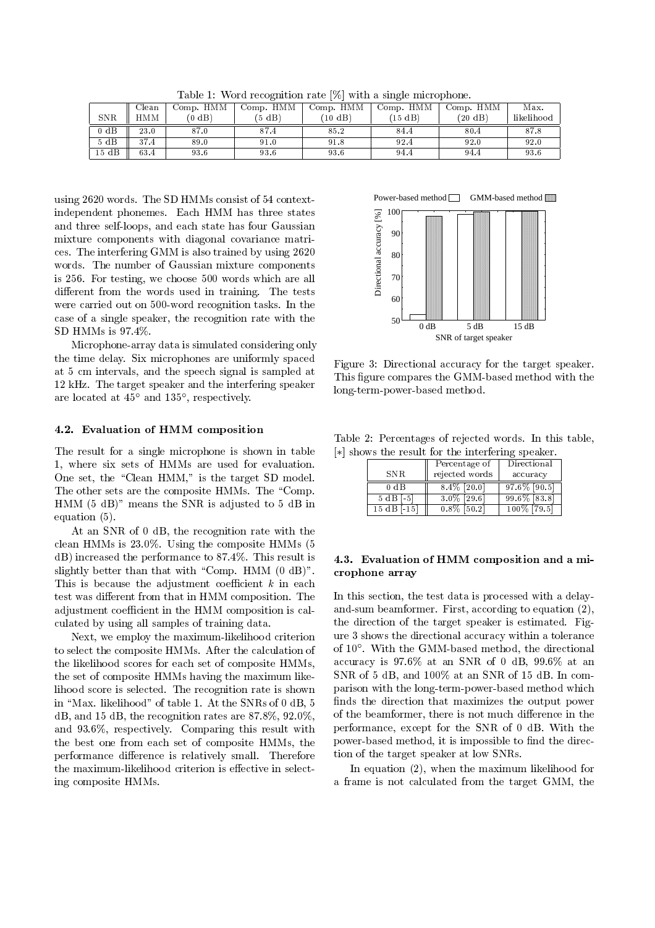| Clean | Comp. HMM | Comp. HMM | Comp. HMM         | Comp. HMM | Comp. HMM | Max.       |
|-------|-----------|-----------|-------------------|-----------|-----------|------------|
| HMM   | $(0$ dB)  | (5 dB)    | $(10 \text{ dB})$ | $(15$ dB) | (20 dB)   | likelihood |
| 23.0  | 87.0      | 87.4      | 85.2              | 84.4      | 80.4      | 87.8       |
| 37.4  | 89.0      | 91.0      | 91.8              | 92.4      | 92.0      | 92.0       |
| 63.4  | 93.6      | 93.6      | 93.6              | 94.4      | 94.4      | 93.6       |
|       |           |           |                   |           |           |            |

Table 1: Word recognition rate [%] with a single microphone.

using 2620 words. The SD HMMs consist of 54 contextindependent phonemes. Each HMM has three states and three self-loops, and each state has four Gaussian mixture components with diagonal covariance matrices. The interfering GMM is also trained by using 2620 words. The number of Gaussian mixture components is 256. For testing, we choose 500 words which are all different from the words used in training. The tests were carried out on 500-word recognition tasks. In the case of a single speaker, the recognition rate with the SD HMMs is 97.4%.

Microphone-array data is simulated considering only the time delay. Six microphones are uniformly spaced at 5 cm intervals, and the speech signal is sampled at 12 kHz. The target speaker and the interfering speaker are located at 45 and 135 , respectively.

## 4.2. Evaluation of HMM composition

The result for a single microphone is shown in table 1, where six sets of HMMs are used for evaluation. One set, the "Clean HMM," is the target SD model. The other sets are the composite HMMs. The "Comp. HMM (5 dB)" means the SNR is adjusted to 5 dB in equation (5).

At an SNR of 0 dB, the recognition rate with the clean HMMs is 23.0%. Using the composite HMMs (5 dB) increased the performance to 87.4%. This result is slightly better than that with "Comp. HMM  $(0 \text{ dB})$ ". This is because the adjustment coefficient  $k$  in each test was different from that in HMM composition. The adjustment coefficient in the HMM composition is calculated by using all samples of training data.

Next, we employ the maximum-likelihood criterion to select the composite HMMs. After the calculation of the likelihood scores for each set of composite HMMs, the set of composite HMMs having the maximum likelihood score is selected. The recognition rate is shown in "Max. likelihood" of table 1. At the SNRs of 0 dB, 5 dB, and 15 dB, the recognition rates are 87.8%, 92.0%, and 93.6%, respectively. Comparing this result with the best one from each set of composite HMMs, the performance difference is relatively small. Therefore the maximum-likelihood criterion is effective in selecting composite HMMs.



Figure 3: Directional accuracy for the target speaker. This figure compares the GMM-based method with the long-term-power-based method.

Table 2: Percentages of rejected words. In this table,  $[*]$  shows the result for the interfering speaker.

|                | Percentage of  | Directional     |
|----------------|----------------|-----------------|
| SNR.           | rejected words | accuracy        |
| $0 \text{ dB}$ | $8.4\%$ [20.0] | $97.6\%$ [90.5] |
| $5 dB$ [-5]    | $3.0\%$ [29.6] | $99.6\%$ [83.8] |
| $15 dB [-15]$  | $0.8\%$ [50.2] | 100% [79.5]     |

## 4.3. Evaluation of HMM composition and a microphone array

In this section, the test data is processed with a delayand-sum beamformer. First, according to equation (2), the direction of the target speaker is estimated. Figure 3 shows the directional accuracy within a tolerance of 10 . With the GMM-based method, the directional accuracy is 97.6% at an SNR of 0 dB, 99.6% at an SNR of 5 dB, and 100% at an SNR of 15 dB. In comparison with the long-term-power-based method which finds the direction that maximizes the output power of the beamformer, there is not much difference in the performance, except for the SNR of 0 dB. With the power-based method, it is impossible to find the direction of the target speaker at low SNRs.

In equation (2), when the maximum likelihood for a frame is not calculated from the target GMM, the